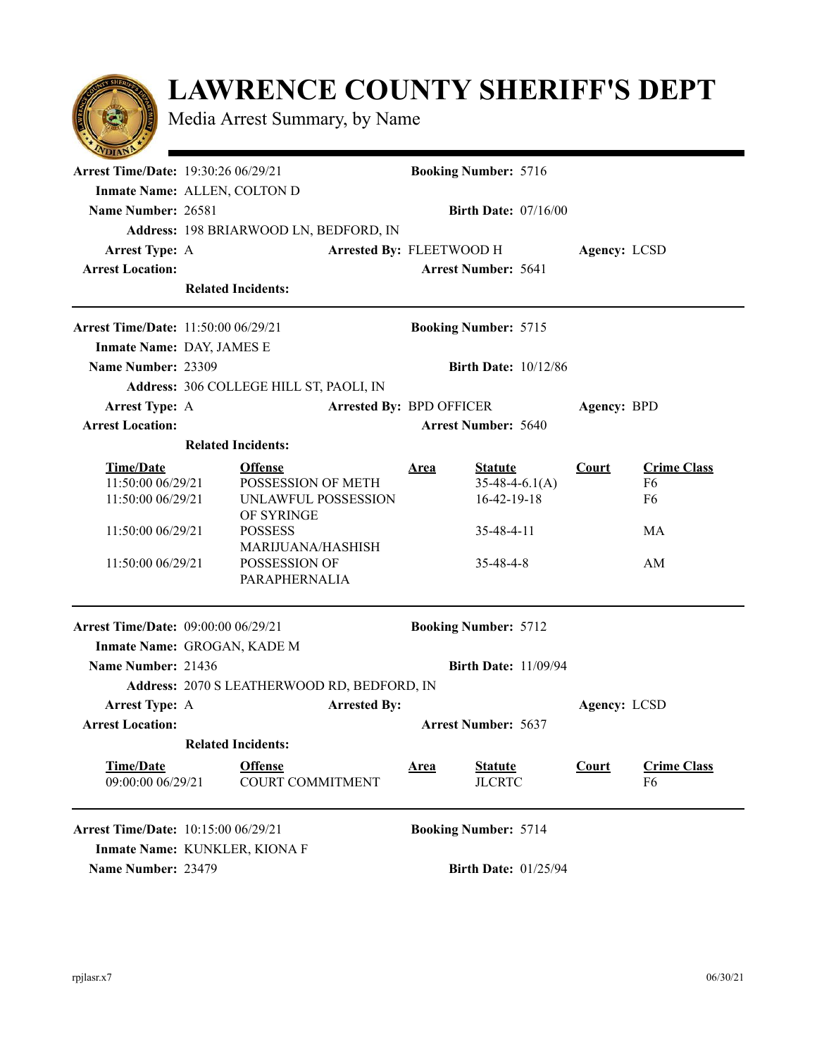## **LAWRENCE COUNTY SHERIFF'S DEPT**

Media Arrest Summary, by Name

| $\sim$                                                                      |                            |                                                             |             |                                                     |              |                                                        |  |
|-----------------------------------------------------------------------------|----------------------------|-------------------------------------------------------------|-------------|-----------------------------------------------------|--------------|--------------------------------------------------------|--|
| <b>Arrest Time/Date: 19:30:26 06/29/21</b>                                  |                            |                                                             |             | <b>Booking Number: 5716</b>                         |              |                                                        |  |
| Inmate Name: ALLEN, COLTON D                                                |                            |                                                             |             |                                                     |              |                                                        |  |
| Name Number: 26581                                                          |                            |                                                             |             | <b>Birth Date: <math>07/16/00</math></b>            |              |                                                        |  |
|                                                                             |                            | Address: 198 BRIARWOOD LN, BEDFORD, IN                      |             |                                                     |              |                                                        |  |
| <b>Arrest Type: A</b>                                                       | Arrested By: FLEETWOOD H   |                                                             |             |                                                     | Agency: LCSD |                                                        |  |
| <b>Arrest Location:</b>                                                     |                            |                                                             |             | <b>Arrest Number: 5641</b>                          |              |                                                        |  |
|                                                                             |                            | <b>Related Incidents:</b>                                   |             |                                                     |              |                                                        |  |
| <b>Arrest Time/Date: 11:50:00 06/29/21</b>                                  |                            |                                                             |             | <b>Booking Number: 5715</b>                         |              |                                                        |  |
| Inmate Name: DAY, JAMES E                                                   |                            |                                                             |             |                                                     |              |                                                        |  |
| Name Number: 23309                                                          |                            |                                                             |             | <b>Birth Date: 10/12/86</b>                         |              |                                                        |  |
|                                                                             |                            | Address: 306 COLLEGE HILL ST, PAOLI, IN                     |             |                                                     |              |                                                        |  |
| <b>Arrest Type: A</b>                                                       |                            |                                                             |             | <b>Arrested By: BPD OFFICER</b>                     |              | Agency: BPD                                            |  |
| <b>Arrest Location:</b>                                                     |                            |                                                             |             | <b>Arrest Number: 5640</b>                          |              |                                                        |  |
|                                                                             |                            | <b>Related Incidents:</b>                                   |             |                                                     |              |                                                        |  |
| <b>Time/Date</b><br>11:50:00 06/29/21<br>11:50:00 06/29/21                  |                            | <b>Offense</b><br>POSSESSION OF METH<br>UNLAWFUL POSSESSION | <u>Area</u> | <b>Statute</b><br>$35-48-4-6.1(A)$<br>$16-42-19-18$ | Court        | <b>Crime Class</b><br>F <sub>6</sub><br>F <sub>6</sub> |  |
| 11:50:00 06/29/21                                                           |                            | OF SYRINGE<br><b>POSSESS</b><br><b>MARIJUANA/HASHISH</b>    |             | 35-48-4-11                                          |              | МA                                                     |  |
| 11:50:00 06/29/21                                                           |                            | POSSESSION OF<br>PARAPHERNALIA                              |             | $35 - 48 - 4 - 8$                                   |              | AM                                                     |  |
| <b>Arrest Time/Date: 09:00:00 06/29/21</b>                                  |                            |                                                             |             | <b>Booking Number: 5712</b>                         |              |                                                        |  |
| Inmate Name: GROGAN, KADE M                                                 |                            |                                                             |             |                                                     |              |                                                        |  |
| Name Number: 21436                                                          |                            |                                                             |             | <b>Birth Date: 11/09/94</b>                         |              |                                                        |  |
|                                                                             |                            | Address: 2070 S LEATHERWOOD RD, BEDFORD, IN                 |             |                                                     |              |                                                        |  |
| <b>Arrest Type: A</b>                                                       | <b>Arrested By:</b>        |                                                             |             |                                                     |              | Agency: LCSD                                           |  |
| <b>Arrest Location:</b>                                                     | <b>Arrest Number: 5637</b> |                                                             |             |                                                     |              |                                                        |  |
|                                                                             |                            | <b>Related Incidents:</b>                                   |             |                                                     |              |                                                        |  |
| <b>Time/Date</b><br>09:00:00 06/29/21                                       |                            | <b>Offense</b><br><b>COURT COMMITMENT</b>                   | <u>Area</u> | <b>Statute</b><br><b>JLCRTC</b>                     | <b>Court</b> | <b>Crime Class</b><br>F6                               |  |
| <b>Arrest Time/Date: 10:15:00 06/29/21</b><br>Inmate Name: KUNKLER, KIONA F |                            |                                                             |             | <b>Booking Number: 5714</b>                         |              |                                                        |  |
| Name Number: 23479                                                          |                            |                                                             |             | <b>Birth Date: 01/25/94</b>                         |              |                                                        |  |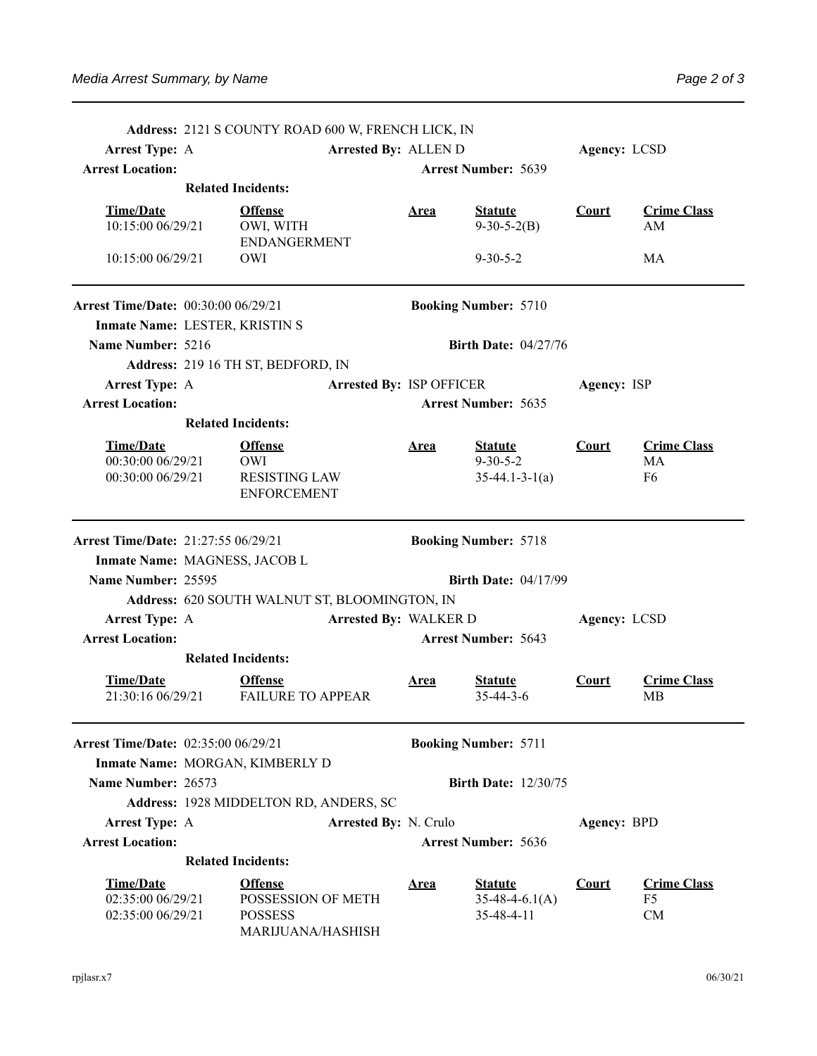|                                                            |                                                | Address: 2121 S COUNTY ROAD 600 W, FRENCH LICK, IN                          |                                 |              |                                                  |              |                                |
|------------------------------------------------------------|------------------------------------------------|-----------------------------------------------------------------------------|---------------------------------|--------------|--------------------------------------------------|--------------|--------------------------------|
| <b>Arrest Type: A</b>                                      |                                                |                                                                             | Arrested By: ALLEN D            |              |                                                  | Agency: LCSD |                                |
| <b>Arrest Location:</b>                                    |                                                |                                                                             |                                 |              | <b>Arrest Number: 5639</b>                       |              |                                |
|                                                            | <b>Related Incidents:</b>                      |                                                                             |                                 |              |                                                  |              |                                |
| <b>Time/Date</b><br>10:15:00 06/29/21                      |                                                | <b>Offense</b><br>OWI, WITH                                                 |                                 | <u>Area</u>  | <b>Statute</b><br>$9-30-5-2(B)$                  | <b>Court</b> | <b>Crime Class</b><br>AM       |
| 10:15:00 06/29/21                                          |                                                | <b>ENDANGERMENT</b><br><b>OWI</b>                                           |                                 |              | $9 - 30 - 5 - 2$                                 |              | MA                             |
| <b>Arrest Time/Date: 00:30:00 06/29/21</b>                 |                                                |                                                                             |                                 |              | <b>Booking Number: 5710</b>                      |              |                                |
| Inmate Name: LESTER, KRISTIN S                             |                                                |                                                                             |                                 |              |                                                  |              |                                |
| Name Number: 5216                                          |                                                |                                                                             |                                 |              | <b>Birth Date: 04/27/76</b>                      |              |                                |
|                                                            |                                                | Address: 219 16 TH ST, BEDFORD, IN                                          |                                 |              |                                                  |              |                                |
| <b>Arrest Type: A</b>                                      |                                                |                                                                             | <b>Arrested By: ISP OFFICER</b> |              |                                                  | Agency: ISP  |                                |
| <b>Arrest Location:</b>                                    |                                                |                                                                             |                                 |              | <b>Arrest Number: 5635</b>                       |              |                                |
|                                                            | <b>Related Incidents:</b>                      |                                                                             |                                 |              |                                                  |              |                                |
| <b>Time/Date</b>                                           |                                                | <b>Offense</b>                                                              |                                 | <u>Area</u>  | <b>Statute</b>                                   | Court        | <b>Crime Class</b>             |
| 00:30:00 06/29/21<br>00:30:00 06/29/21                     |                                                | <b>OWI</b><br><b>RESISTING LAW</b><br><b>ENFORCEMENT</b>                    |                                 |              | $9 - 30 - 5 - 2$<br>$35-44.1-3-1(a)$             |              | MA<br>F <sub>6</sub>           |
| Arrest Time/Date: 21:27:55 06/29/21                        |                                                |                                                                             |                                 |              | <b>Booking Number: 5718</b>                      |              |                                |
| Inmate Name: MAGNESS, JACOB L                              |                                                |                                                                             |                                 |              |                                                  |              |                                |
| Name Number: 25595                                         |                                                |                                                                             |                                 |              | <b>Birth Date: 04/17/99</b>                      |              |                                |
|                                                            |                                                | Address: 620 SOUTH WALNUT ST, BLOOMINGTON, IN                               |                                 |              |                                                  |              |                                |
|                                                            | Arrested By: WALKER D<br><b>Arrest Type: A</b> |                                                                             |                                 | Agency: LCSD |                                                  |              |                                |
| <b>Arrest Location:</b>                                    |                                                |                                                                             |                                 |              | <b>Arrest Number: 5643</b>                       |              |                                |
|                                                            | <b>Related Incidents:</b>                      |                                                                             |                                 |              |                                                  |              |                                |
| <b>Time/Date</b><br>21:30:16 06/29/21                      |                                                | <b>Offense</b><br><b>FAILURE TO APPEAR</b>                                  |                                 | <u>Area</u>  | <b>Statute</b><br>$35 - 44 - 3 - 6$              | <b>Court</b> | <b>Crime Class</b><br>MВ       |
| <b>Arrest Time/Date: 02:35:00 06/29/21</b>                 |                                                |                                                                             |                                 |              | <b>Booking Number: 5711</b>                      |              |                                |
|                                                            |                                                | Inmate Name: MORGAN, KIMBERLY D                                             |                                 |              |                                                  |              |                                |
| Name Number: 26573                                         |                                                |                                                                             |                                 |              | <b>Birth Date: 12/30/75</b>                      |              |                                |
|                                                            |                                                | Address: 1928 MIDDELTON RD, ANDERS, SC                                      |                                 |              |                                                  |              |                                |
| <b>Arrest Type: A</b>                                      |                                                |                                                                             | Arrested By: N. Crulo           |              |                                                  | Agency: BPD  |                                |
| <b>Arrest Location:</b>                                    |                                                |                                                                             |                                 |              | <b>Arrest Number: 5636</b>                       |              |                                |
|                                                            | <b>Related Incidents:</b>                      |                                                                             |                                 |              |                                                  |              |                                |
| <b>Time/Date</b><br>02:35:00 06/29/21<br>02:35:00 06/29/21 |                                                | <b>Offense</b><br>POSSESSION OF METH<br><b>POSSESS</b><br>MARIJUANA/HASHISH |                                 | <u>Area</u>  | <b>Statute</b><br>$35-48-4-6.1(A)$<br>35-48-4-11 | <b>Court</b> | <b>Crime Class</b><br>F5<br>CM |